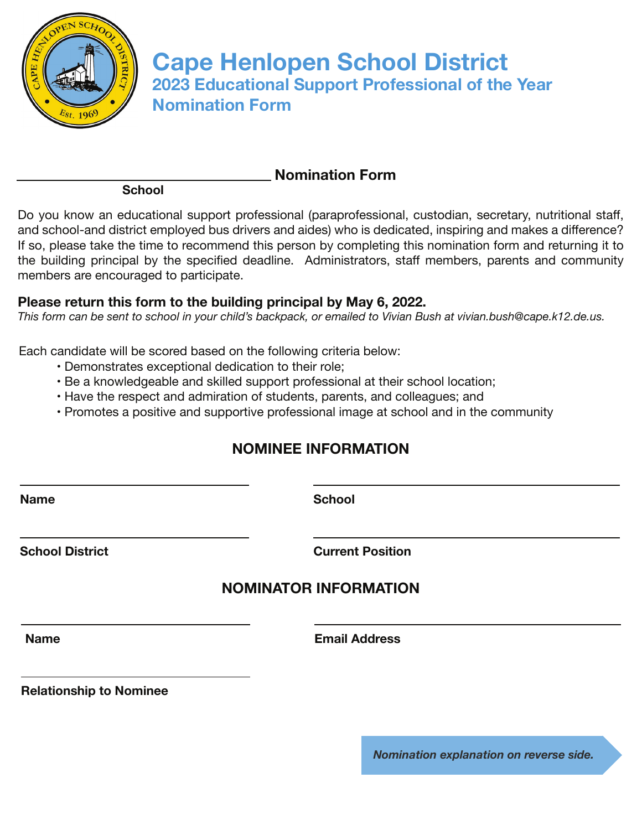

**Cape Henlopen School District 2023 Educational Support Professional of the Year Nomination Form**

**School**

Do you know an educational support professional (paraprofessional, custodian, secretary, nutritional staff, and school-and district employed bus drivers and aides) who is dedicated, inspiring and makes a difference? If so, please take the time to recommend this person by completing this nomination form and returning it to the building principal by the specified deadline. Administrators, staff members, parents and community members are encouraged to participate.

 **Nomination Form**

## **Please return this form to the building principal by May 6, 2022.**

*This form can be sent to school in your child's backpack, or emailed to Vivian Bush at vivian.bush@cape.k12.de.us.*

Each candidate will be scored based on the following criteria below:

- Demonstrates exceptional dedication to their role;
- Be a knowledgeable and skilled support professional at their school location;
- Have the respect and admiration of students, parents, and colleagues; and
- Promotes a positive and supportive professional image at school and in the community

## **NOMINEE INFORMATION**

**Name School**

**School District Current Position**

## **NOMINATOR INFORMATION**

**Name Email Address**

**Relationship to Nominee**

*Nomination explanation on reverse side.*